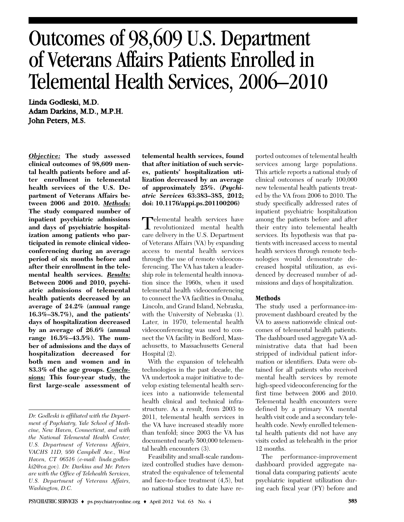# Outcomes of 98,609 U.S. Department of Veterans Affairs Patients Enrolled in Telemental Health Services, 2006–2010

Linda Godleski, M.D. Adam Darkins, M.D., M.P.H. John Peters, M.S.

*Objective:* **The study assessed clinical outcomes of 98,609 mental health patients before and after enrollment in telemental health services of the U.S. Department of Veterans Affairs between 2006 and 2010.** *Methods:* **The study compared number of inpatient psychiatric admissions and days of psychiatric hospitalization among patients who participated in remote clinical videoconferencing during an average period of six months before and after their enrollment in the telemental health services.** *Results:* **Between 2006 and 2010, psychiatric admissions of telemental health patients decreased by an average of 24.2% (annual range 16.3%–38.7%), and the patients' days of hospitalization decreased by an average of 26.6% (annual range 16.5%–43.5%). The number of admissions and the days of hospitalization decreased for both men and women and in 83.3% of the age groups.** *Conclusions:* **This four-year study, the first large-scale assessment of**

**telemental health services, found that after initiation of such services, patients' hospitalization utilization decreased by an average of approximately 25%. (***Psychiatric Services* **63:383–385, 2012; doi: 10.1176/appi.ps.201100206)**

Telemental health services have<br>revolutionized mental health care delivery in the U.S. Department of Veterans Affairs (VA) by expanding access to mental health services through the use of remote videoconferencing. The VA has taken a leadership role in telemental health innovation since the 1960s, when it used telemental health videoconferencing to connect the VA facilities in Omaha, Lincoln, and Grand Island, Nebraska, with the University of Nebraska (1). Later, in 1970, telemental health videoconferencing was used to connect the VA facility in Bedford, Massachusetts, to Massachusetts General Hospital (2).

With the expansion of telehealth technologies in the past decade, the VA undertook a major initiative to develop existing telemental health services into a nationwide telemental health clinical and technical infrastructure. As a result, from 2003 to 2011, telemental health services in the VA have increased steadily more than tenfold; since 2003 the VA has documented nearly 500,000 telemental health encounters (3).

Feasibility and small-scale randomized controlled studies have demonstrated the equivalence of telemental and face-to-face treatment (4,5), but no national studies to date have reported outcomes of telemental health services among large populations. This article reports a national study of clinical outcomes of nearly 100,000 new telemental health patients treated by the VA from 2006 to 2010. The study specifically addressed rates of inpatient psychiatric hospitalization among the patients before and after their entry into telemental health services. Its hypothesis was that patients with increased access to mental health services through remote technologies would demonstrate decreased hospital utilization, as evidenced by decreased number of admissions and days of hospitalization.

# **Methods**

The study used a performance-improvement dashboard created by the VA to assess nationwide clinical outcomes of telemental health patients. The dashboard used aggregate VA administrative data that had been stripped of individual patient information or identifiers. Data were obtained for all patients who received mental health services by remote high-speed videoconferencing for the first time between 2006 and 2010. Telemental health encounters were defined by a primary VA mental health visit code and a secondary telehealth code. Newly enrolled telemental health patients did not have any visits coded as telehealth in the prior 12 months.

The performance-improvement dashboard provided aggregate national data comparing patients' acute psychiatric inpatient utilization during each fiscal year (FY) before and

*Dr. Godleski is affiliated with the Department of Psychiatry, Yale School of Medicine, New Haven, Connecticut, and with the National Telemental Health Center, U.S. Department of Veterans Affairs, VACHS 11D, 950 Campbell Ave., West Haven, CT 06516 (e-mail: linda.godleski2@va.gov). Dr. Darkins and Mr. Peters are with the Office of Telehealth Services, U.S. Department of Veterans Affairs, Washington, D.C.*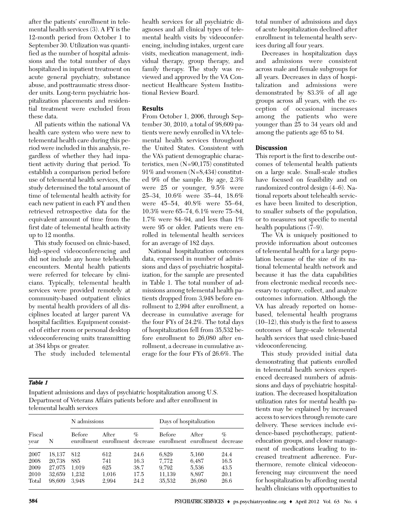after the patients' enrollment in telemental health services (3). A FY is the 12-month period from October 1 to September 30. Utilization was quantified as the number of hospital admissions and the total number of days hospitalized in inpatient treatment on acute general psychiatry, substance abuse, and posttraumatic stress disorder units. Long-term psychiatric hospitalization placements and residential treatment were excluded from these data.

All patients within the national VA health care system who were new to telemental health care during this period were included in this analysis, regardless of whether they had inpatient activity during that period. To establish a comparison period before use of telemental health services, the study determined the total amount of time of telemental health activity for each new patient in each FY and then retrieved retrospective data for the equivalent amount of time from the first date of telemental health activity up to 12 months.

This study focused on clinic-based, high-speed videoconferencing and did not include any home telehealth encounters. Mental health patients were referred for telecare by clinicians. Typically, telemental health services were provided remotely at community-based outpatient clinics by mental health providers of all disciplines located at larger parent VA hospital facilities. Equipment consisted of either room or personal desktop videoconferencing units transmitting at 384 kbps or greater.

The study included telemental

#### *Table 1*

Inpatient admissions and days of psychiatric hospitalization among U.S. Department of Veterans Affairs patients before and after enrollment in telemental health services

|                                       |                                                | N admissions                          |                                     |                                      | Days of hospitalization                                                 |                                            |                                      |
|---------------------------------------|------------------------------------------------|---------------------------------------|-------------------------------------|--------------------------------------|-------------------------------------------------------------------------|--------------------------------------------|--------------------------------------|
| Fiscal<br>year                        | N                                              | Before                                | After                               | $\%$                                 | Before<br>enrollment enrollment decrease enrollment enrollment decrease | After                                      | $\%$                                 |
| 2007<br>2008<br>2009<br>2010<br>Total | 18.137<br>20,738<br>27,075<br>32.659<br>98.609 | 812<br>885<br>1.019<br>1.232<br>3.948 | 612<br>741<br>625<br>1,016<br>2,994 | 24.6<br>16.3<br>38.7<br>17.5<br>24.2 | 6.829<br>7.772<br>9.792<br>11,139<br>35,532                             | 5,160<br>6.487<br>5,536<br>8.897<br>26,080 | 24.4<br>16.5<br>43.5<br>20.1<br>26.6 |

# **Results**

From October 1, 2006, through September 30, 2010, a total of 98,609 patients were newly enrolled in VA telemental health services throughout the United States. Consistent with the VA's patient demographic characteristics, men (N=90,175) constituted 91% and women (N=8,434) constituted 9% of the sample. By age, 2.3% were 25 or younger, 9.5% were 25–34, 10.6% were 35–44, 18.6% were 45–54, 40.8% were 55–64, 10.3% were 65–74, 6.1% were 75–84, 1.7% were 84–94, and less than 1% were 95 or older. Patients were enrolled in telemental health services for an average of 182 days.

National hospitalization outcomes data, expressed in number of admissions and days of psychiatric hospitalization, for the sample are presented in Table 1. The total number of admissions among telemental health patients dropped from 3,948 before enrollment to 2,994 after enrollment, a decrease in cumulative average for the four FYs of 24.2%. The total days of hospitalization fell from 35,532 before enrollment to 26,080 after enrollment, a decrease in cumulative average for the four FYs of 26.6%. The

total number of admissions and days of acute hospitalization declined after enrollment in telemental health services during all four years.

Decreases in hospitalization days and admissions were consistent across male and female subgroups for all years. Decreases in days of hospitalization and admissions were demonstrated by 83.3% of all age groups across all years, with the exception of occasional increases among the patients who were younger than 25 to 34 years old and among the patients age 65 to 84.

# **Discussion**

This report is the first to describe outcomes of telemental health patients on a large scale. Small-scale studies have focused on feasibility and on randomized control design (4–6). National reports about telehealth services have been limited to description, to smaller subsets of the population, or to measures not specific to mental health populations  $(7-9)$ .

The VA is uniquely positioned to provide information about outcomes of telemental health for a large population because of the size of its national telemental health network and because it has the data capabilities from electronic medical records necessary to capture, collect, and analyze outcomes information. Although the VA has already reported on homebased, telemental health programs (10–12), this study is the first to assess outcomes of large-scale telemental health services that used clinic-based videoconferencing.

This study provided initial data demonstrating that patients enrolled in telemental health services experienced decreased numbers of admissions and days of psychiatric hospitalization. The decreased hospitalization utilization rates for mental health patients may be explained by increased access to services through remote care delivery. These services include evidence-based psychotherapy, patienteducation groups, and closer management of medications leading to increased treatment adherence. Furthermore, remote clinical videoconferencing may circumvent the need for hospitalization by affording mental health clinicians with opportunities to